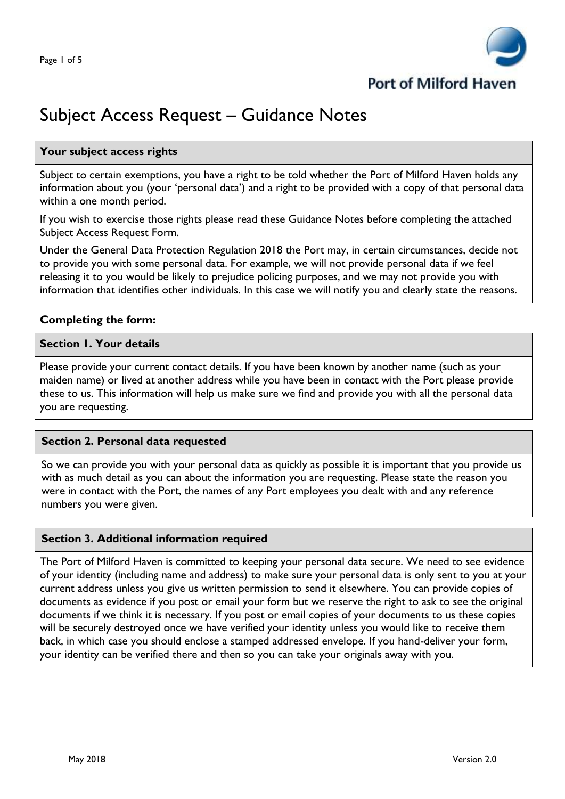

# Subject Access Request – Guidance Notes

# **Your subject access rights**

Subject to certain exemptions, you have a right to be told whether the Port of Milford Haven holds any information about you (your 'personal data') and a right to be provided with a copy of that personal data within a one month period.

If you wish to exercise those rights please read these Guidance Notes before completing the attached Subject Access Request Form.

Under the General Data Protection Regulation 2018 the Port may, in certain circumstances, decide not to provide you with some personal data. For example, we will not provide personal data if we feel releasing it to you would be likely to prejudice policing purposes, and we may not provide you with information that identifies other individuals. In this case we will notify you and clearly state the reasons.

# **Completing the form:**

#### **Section 1. Your details**

Please provide your current contact details. If you have been known by another name (such as your maiden name) or lived at another address while you have been in contact with the Port please provide these to us. This information will help us make sure we find and provide you with all the personal data you are requesting.

#### **Section 2. Personal data requested**

So we can provide you with your personal data as quickly as possible it is important that you provide us with as much detail as you can about the information you are requesting. Please state the reason you were in contact with the Port, the names of any Port employees you dealt with and any reference numbers you were given.

#### **Section 3. Additional information required**

The Port of Milford Haven is committed to keeping your personal data secure. We need to see evidence of your identity (including name and address) to make sure your personal data is only sent to you at your current address unless you give us written permission to send it elsewhere. You can provide copies of documents as evidence if you post or email your form but we reserve the right to ask to see the original documents if we think it is necessary. If you post or email copies of your documents to us these copies will be securely destroyed once we have verified your identity unless you would like to receive them back, in which case you should enclose a stamped addressed envelope. If you hand-deliver your form, your identity can be verified there and then so you can take your originals away with you.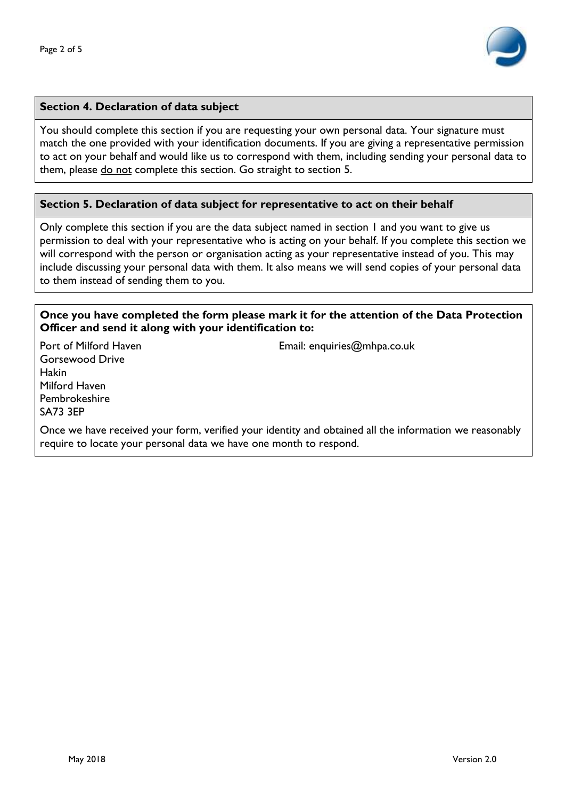

### **Section 4. Declaration of data subject**

You should complete this section if you are requesting your own personal data. Your signature must match the one provided with your identification documents. If you are giving a representative permission to act on your behalf and would like us to correspond with them, including sending your personal data to them, please do not complete this section. Go straight to section 5.

#### **Section 5. Declaration of data subject for representative to act on their behalf**

Only complete this section if you are the data subject named in section 1 and you want to give us permission to deal with your representative who is acting on your behalf. If you complete this section we will correspond with the person or organisation acting as your representative instead of you. This may include discussing your personal data with them. It also means we will send copies of your personal data to them instead of sending them to you.

#### **Once you have completed the form please mark it for the attention of the Data Protection Officer and send it along with your identification to:**

Gorsewood Drive Hakin Milford Haven Pembrokeshire SA73 3EP

Port of Milford Haven **Email:** enquiries@mhpa.co.uk

Once we have received your form, verified your identity and obtained all the information we reasonably require to locate your personal data we have one month to respond.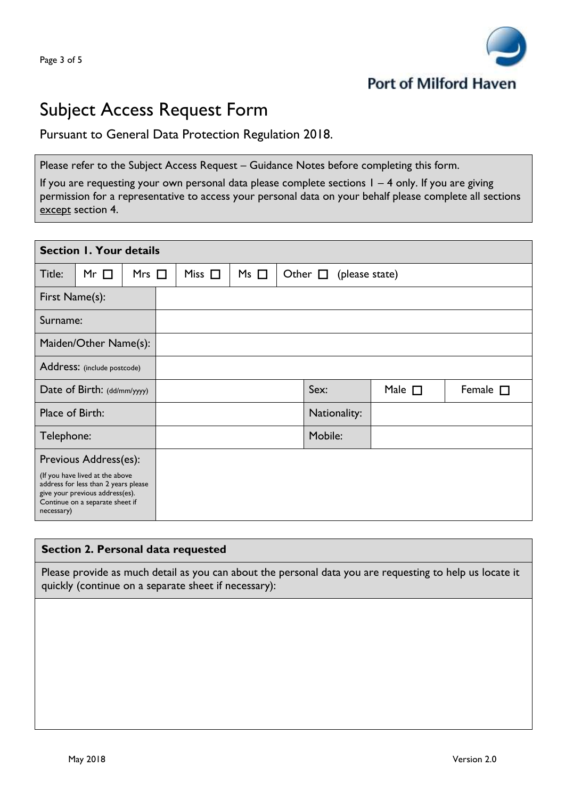

# Subject Access Request Form

# Pursuant to General Data Protection Regulation 2018.

Please refer to the Subject Access Request – Guidance Notes before completing this form.

If you are requesting your own personal data please complete sections  $1 - 4$  only. If you are giving permission for a representative to access your personal data on your behalf please complete all sections except section 4.

| <b>Section 1. Your details</b>                                                                                                                                                       |           |            |  |             |           |  |                                   |             |                  |  |  |
|--------------------------------------------------------------------------------------------------------------------------------------------------------------------------------------|-----------|------------|--|-------------|-----------|--|-----------------------------------|-------------|------------------|--|--|
| Title:                                                                                                                                                                               | Mr $\Box$ | Mrs $\Box$ |  | Miss $\Box$ | $Ms \Box$ |  | Other $\square$<br>(please state) |             |                  |  |  |
| First Name(s):                                                                                                                                                                       |           |            |  |             |           |  |                                   |             |                  |  |  |
| Surname:                                                                                                                                                                             |           |            |  |             |           |  |                                   |             |                  |  |  |
| Maiden/Other Name(s):                                                                                                                                                                |           |            |  |             |           |  |                                   |             |                  |  |  |
| Address: (include postcode)                                                                                                                                                          |           |            |  |             |           |  |                                   |             |                  |  |  |
| Date of Birth: (dd/mm/yyyy)                                                                                                                                                          |           |            |  |             |           |  | Sex:                              | Male $\Box$ | Female $\square$ |  |  |
| Place of Birth:                                                                                                                                                                      |           |            |  |             |           |  | Nationality:                      |             |                  |  |  |
| Telephone:                                                                                                                                                                           |           |            |  |             |           |  | Mobile:                           |             |                  |  |  |
| Previous Address(es):<br>(If you have lived at the above<br>address for less than 2 years please<br>give your previous address(es).<br>Continue on a separate sheet if<br>necessary) |           |            |  |             |           |  |                                   |             |                  |  |  |

# **Section 2. Personal data requested**

Please provide as much detail as you can about the personal data you are requesting to help us locate it quickly (continue on a separate sheet if necessary):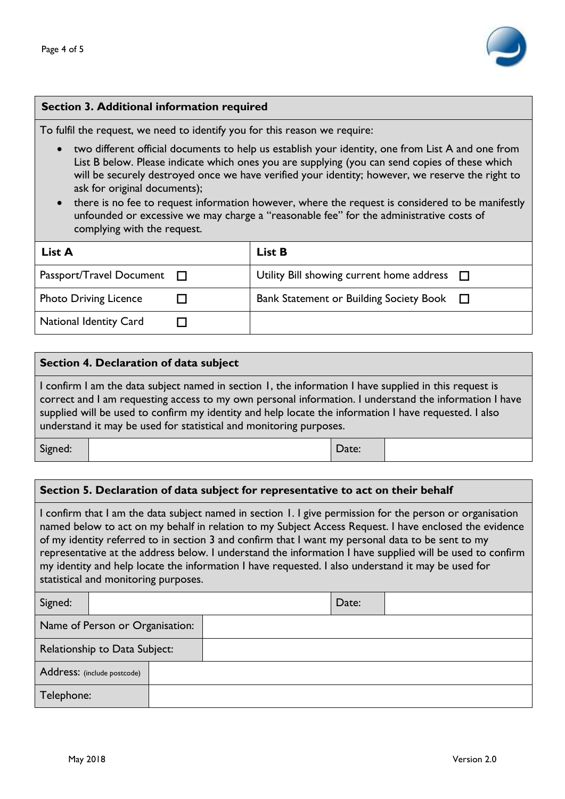

### **Section 3. Additional information required**

To fulfil the request, we need to identify you for this reason we require:

- two different official documents to help us establish your identity, one from List A and one from List B below. Please indicate which ones you are supplying (you can send copies of these which will be securely destroyed once we have verified your identity; however, we reserve the right to ask for original documents);
- there is no fee to request information however, where the request is considered to be manifestly unfounded or excessive we may charge a "reasonable fee" for the administrative costs of complying with the request.

| List A                              | <b>List B</b>                                    |
|-------------------------------------|--------------------------------------------------|
| Passport/Travel Document<br>$\perp$ | Utility Bill showing current home address $\Box$ |
| <b>Photo Driving Licence</b>        | Bank Statement or Building Society Book $\Box$   |
| <b>National Identity Card</b>       |                                                  |

#### **Section 4. Declaration of data subject**

I confirm I am the data subject named in section 1, the information I have supplied in this request is correct and I am requesting access to my own personal information. I understand the information I have supplied will be used to confirm my identity and help locate the information I have requested. I also understand it may be used for statistical and monitoring purposes.

Signed: | Date:

# **Section 5. Declaration of data subject for representative to act on their behalf**

I confirm that I am the data subject named in section 1. I give permission for the person or organisation named below to act on my behalf in relation to my Subject Access Request. I have enclosed the evidence of my identity referred to in section 3 and confirm that I want my personal data to be sent to my representative at the address below. I understand the information I have supplied will be used to confirm my identity and help locate the information I have requested. I also understand it may be used for statistical and monitoring purposes.

| Signed:                         |  | Date: |  |  |
|---------------------------------|--|-------|--|--|
| Name of Person or Organisation: |  |       |  |  |
| Relationship to Data Subject:   |  |       |  |  |
| Address: (include postcode)     |  |       |  |  |
| Telephone:                      |  |       |  |  |